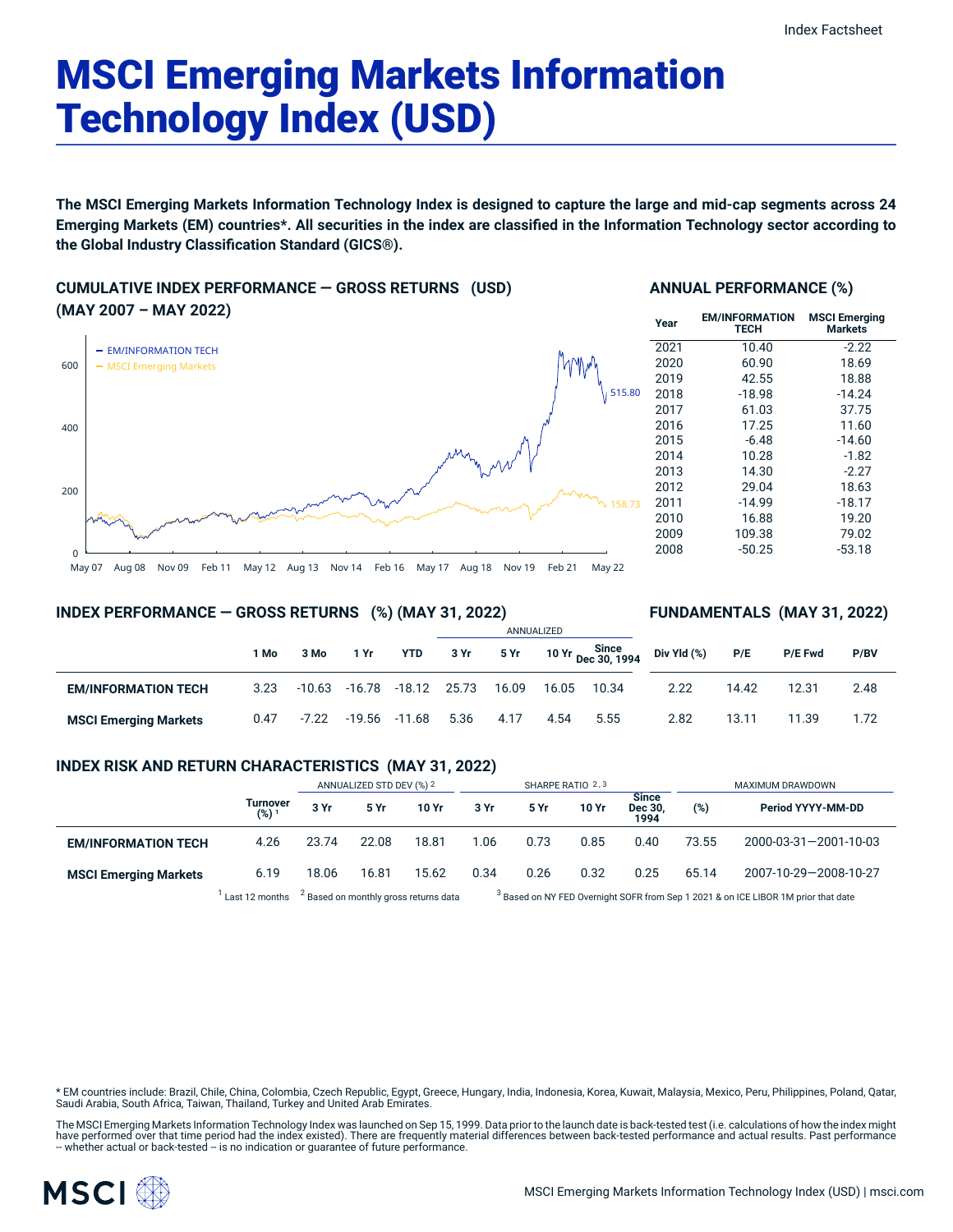# MSCI Emerging Markets Information Technology Index (USD)

The MSCI Emerging Markets Information Technology Index is designed to capture the large and mid-cap segments across 24 Emerging Markets (EM) countries\*. All securities in the index are classified in the Information Technology sector according to **the Global Industry Classification Standard (GICS®).**

# **CUMULATIVE INDEX PERFORMANCE — GROSS RETURNS (USD) (MAY 2007 – MAY 2022)**



# **ANNUAL PERFORMANCE (%)**

| Year | <b>EM/INFORMATION</b><br><b>TECH</b> | <b>MSCI Emerging</b><br><b>Markets</b> |
|------|--------------------------------------|----------------------------------------|
| 2021 | 10.40                                | $-2.22$                                |
| 2020 | 60.90                                | 18.69                                  |
| 2019 | 42.55                                | 18.88                                  |
| 2018 | $-18.98$                             | $-14.24$                               |
| 2017 | 61.03                                | 37.75                                  |
| 2016 | 17.25                                | 11.60                                  |
| 2015 | $-6.48$                              | $-14.60$                               |
| 2014 | 10.28                                | $-1.82$                                |
| 2013 | 14.30                                | $-2.27$                                |
| 2012 | 29.04                                | 18.63                                  |
| 2011 | $-14.99$                             | $-18.17$                               |
| 2010 | 16.88                                | 19.20                                  |
| 2009 | 109.38                               | 79.02                                  |
| 2008 | $-50.25$                             | $-53.18$                               |

**FUNDAMENTALS (MAY 31, 2022)**

#### **INDEX PERFORMANCE — GROSS RETURNS (%) (MAY 31, 2022)**

#### ANNUALIZED **1 Mo 3 Mo 1 Yr YTD 3 Yr 5 Yr 10 Yr Since Dec 30, 1994 EM/INFORMATION TECH** 3.23 -10.63 -16.78 -18.12 25.73 16.09 16.05 10.34 **MSCI Emerging Markets** 0.47 -7.22 -19.56 -11.68 5.36 4.17 4.54 5.55 **Div Yld (%) P/E P/E Fwd P/BV** 2.22 14.42 12.31 2.48 2.82 13.11 11.39 1.72

# **INDEX RISK AND RETURN CHARACTERISTICS (MAY 31, 2022)**

|                              |                 | ANNUALIZED STD DEV (%) 2                         |       | SHARPE RATIO 2,3 |      |      |       | MAXIMUM DRAWDOWN                |                                                                                               |                       |
|------------------------------|-----------------|--------------------------------------------------|-------|------------------|------|------|-------|---------------------------------|-----------------------------------------------------------------------------------------------|-----------------------|
|                              | Turnover<br>(%) | 3 Yr                                             | 5 Yr  | 10 Yr            | 3 Yr | 5 Yr | 10 Yr | <b>Since</b><br>Dec 30,<br>1994 | $(\%)$                                                                                        | Period YYYY-MM-DD     |
| <b>EM/INFORMATION TECH</b>   | 4.26            | 23.74                                            | 22.08 | 18.81            | 1.06 | 0.73 | 0.85  | 0.40                            | 73.55                                                                                         | 2000-03-31-2001-10-03 |
| <b>MSCI Emerging Markets</b> | 6.19            | 18.06                                            | 16.81 | 15.62            | 0.34 | 0.26 | 0.32  | 0.25                            | 65.14                                                                                         | 2007-10-29-2008-10-27 |
|                              | Last 12 months  | <sup>2</sup> Based on monthly gross returns data |       |                  |      |      |       |                                 | <sup>3</sup> Based on NY FED Overnight SOFR from Sep 1 2021 & on ICE LIBOR 1M prior that date |                       |

\* EM countries include: Brazil, Chile, China, Colombia, Czech Republic, Egypt, Greece, Hungary, India, Indonesia, Korea, Kuwait, Malaysia, Mexico, Peru, Philippines, Poland, Qatar, Saudi Arabia, South Africa, Taiwan, Thailand, Turkey and United Arab Emirates.

The MSCI Emerging Markets Information Technology Index was launched on Sep 15, 1999. Data prior to the launch date is back-tested test (i.e. calculations of how the index might have performed over that time period had the index existed). There are frequently material differences between back-tested performance and actual results. Past performance<br>– whether actual or back-tested – is no indication

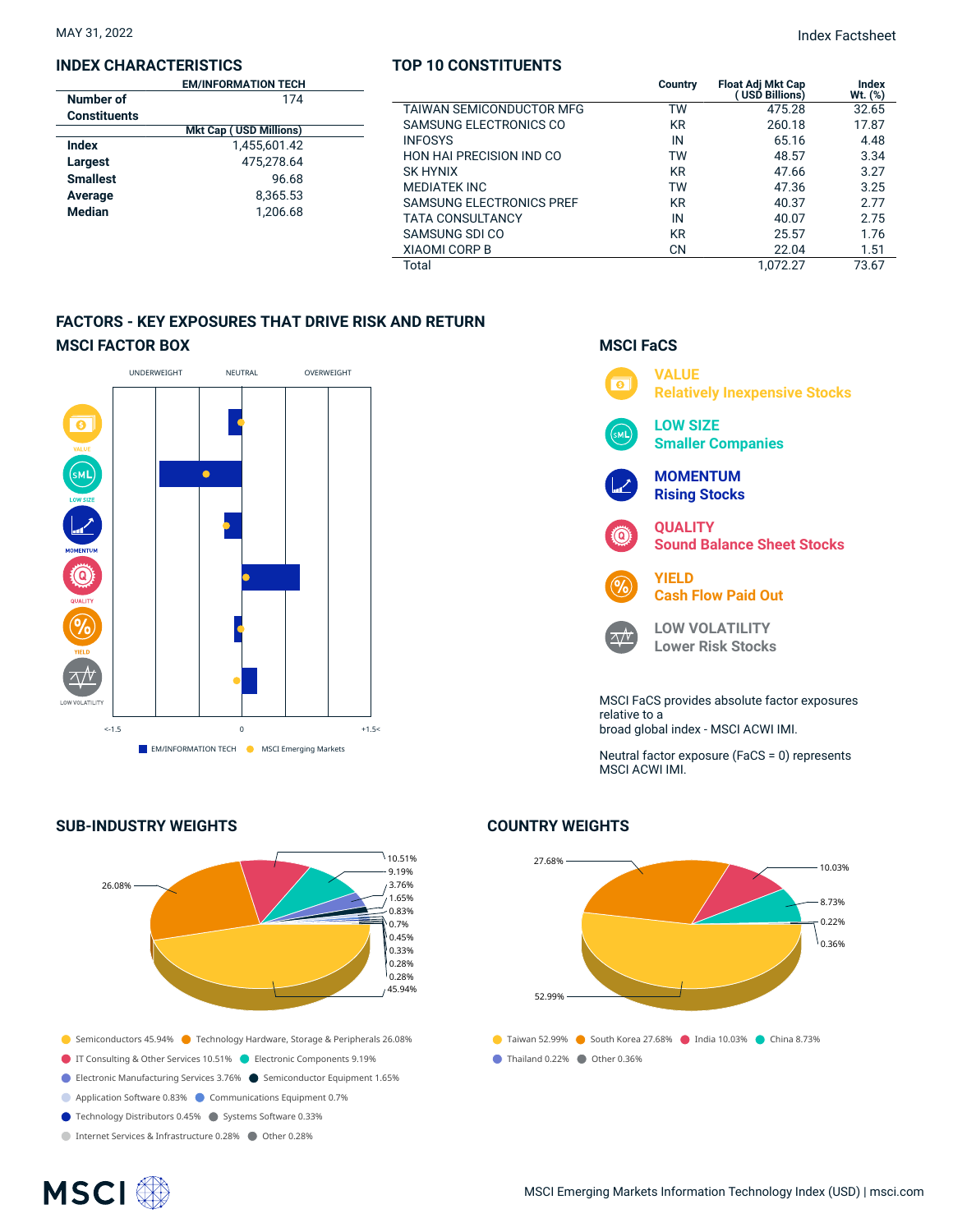#### **INDEX CHARACTERISTICS**

|                     | <b>EM/INFORMATION TECH</b>    |  |
|---------------------|-------------------------------|--|
| Number of           | 174                           |  |
| <b>Constituents</b> |                               |  |
|                     | <b>Mkt Cap (USD Millions)</b> |  |
| Index               | 1.455.601.42                  |  |
| Largest             | 475.278.64                    |  |
| <b>Smallest</b>     | 96.68                         |  |
| Average             | 8,365.53                      |  |
| <b>Median</b>       | 1.206.68                      |  |
|                     |                               |  |

# **TOP 10 CONSTITUENTS**

|                               | <b>EM/INFORMATION TECH</b> |                                 | Country   | <b>Float Adi Mkt Cap</b> | Index   |
|-------------------------------|----------------------------|---------------------------------|-----------|--------------------------|---------|
| nber of                       | 174                        |                                 |           | USD Billions)            | Wt. (%) |
| าstituents                    |                            | TAIWAN SEMICONDUCTOR MFG        | ТW        | 475.28                   | 32.65   |
| <b>Mkt Cap (USD Millions)</b> |                            | SAMSUNG ELECTRONICS CO          | KR        | 260.18                   | 17.87   |
| eх                            | 1,455,601.42               | <b>INFOSYS</b>                  | IN        | 65.16                    | 4.48    |
| qest                          | 475.278.64                 | <b>HON HAI PRECISION IND CO</b> | ТW        | 48.57                    | 3.34    |
| allest                        | 96.68                      | <b>SK HYNIX</b>                 | KR        | 47.66                    | 3.27    |
|                               |                            | <b>MEDIATEK INC</b>             | тw        | 47.36                    | 3.25    |
| erage                         | 8,365.53                   | <b>SAMSUNG ELECTRONICS PREF</b> | <b>KR</b> | 40.37                    | 2.77    |
| 1.206.68<br>dian              |                            | <b>TATA CONSULTANCY</b>         | IN        | 40.07                    | 2.75    |
|                               |                            | SAMSUNG SDI CO                  | <b>KR</b> | 25.57                    | 1.76    |
|                               |                            | <b>XIAOMI CORP B</b>            | <b>CN</b> | 22.04                    | 1.51    |
|                               |                            | Total                           |           | 1.072.27                 | 73.67   |

# **FACTORS - KEY EXPOSURES THAT DRIVE RISK AND RETURN MSCI FACTOR BOX**



# **SUB-INDUSTRY WEIGHTS**



# **VALUE**  $\overline{\bullet}$ **Relatively Inexpensive Stocks LOW SIZE** м١ **Smaller Companies MOMENTUM Rising Stocks QUALITY Sound Balance Sheet Stocks YIELD Cash Flow Paid Out LOW VOLATILITY**  $\sqrt{v}$ **Lower Risk Stocks** MSCI FaCS provides absolute factor exposures relative to a broad global index - MSCI ACWI IMI.

**MSCI FaCS**

Neutral factor exposure (FaCS = 0) represents MSCI ACWI IMI.

# **COUNTRY WEIGHTS**